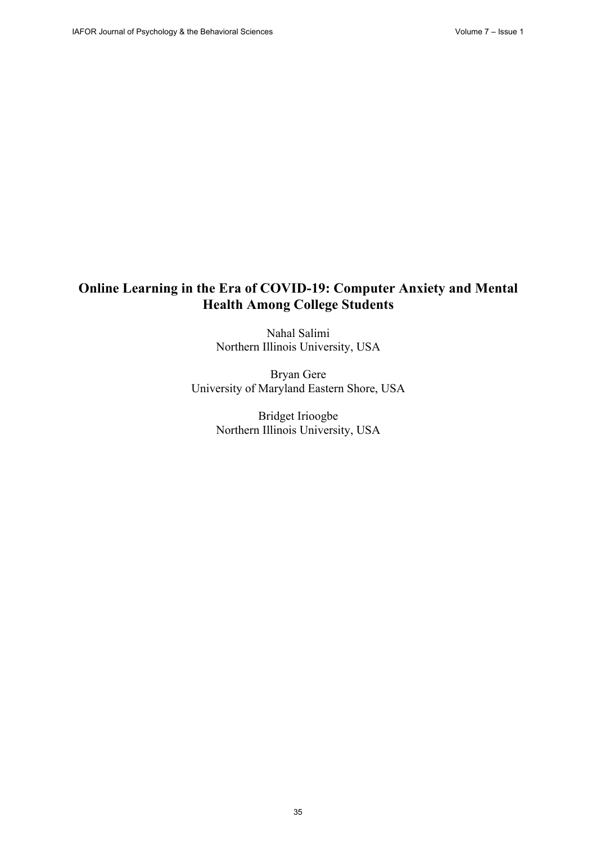# **Online Learning in the Era of COVID-19: Computer Anxiety and Mental Health Among College Students**

Nahal Salimi Northern Illinois University, USA

Bryan Gere University of Maryland Eastern Shore, USA

> Bridget Irioogbe Northern Illinois University, USA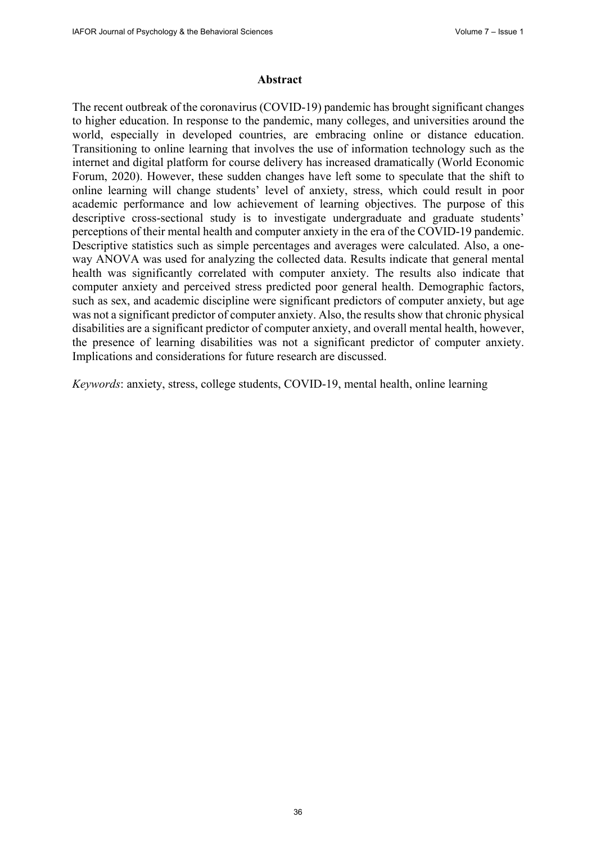#### **Abstract**

The recent outbreak of the coronavirus (COVID-19) pandemic has brought significant changes to higher education. In response to the pandemic, many colleges, and universities around the world, especially in developed countries, are embracing online or distance education. Transitioning to online learning that involves the use of information technology such as the internet and digital platform for course delivery has increased dramatically (World Economic Forum, 2020). However, these sudden changes have left some to speculate that the shift to online learning will change students' level of anxiety, stress, which could result in poor academic performance and low achievement of learning objectives. The purpose of this descriptive cross-sectional study is to investigate undergraduate and graduate students' perceptions of their mental health and computer anxiety in the era of the COVID-19 pandemic. Descriptive statistics such as simple percentages and averages were calculated. Also, a oneway ANOVA was used for analyzing the collected data. Results indicate that general mental health was significantly correlated with computer anxiety. The results also indicate that computer anxiety and perceived stress predicted poor general health. Demographic factors, such as sex, and academic discipline were significant predictors of computer anxiety, but age was not a significant predictor of computer anxiety. Also, the results show that chronic physical disabilities are a significant predictor of computer anxiety, and overall mental health, however, the presence of learning disabilities was not a significant predictor of computer anxiety. Implications and considerations for future research are discussed.

*Keywords*: anxiety, stress, college students, COVID-19, mental health, online learning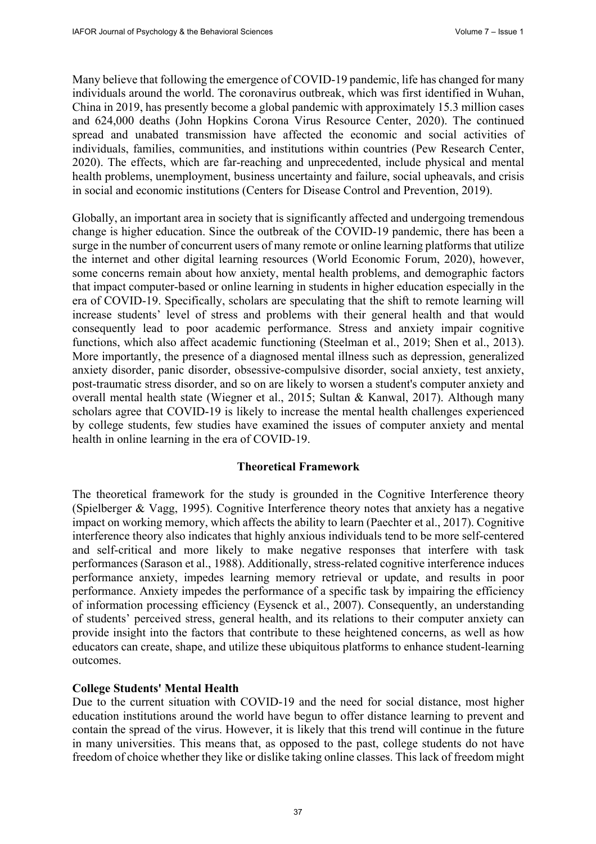Many believe that following the emergence of COVID-19 pandemic, life has changed for many individuals around the world. The coronavirus outbreak, which was first identified in Wuhan, China in 2019, has presently become a global pandemic with approximately 15.3 million cases and 624,000 deaths (John Hopkins Corona Virus Resource Center, 2020). The continued spread and unabated transmission have affected the economic and social activities of individuals, families, communities, and institutions within countries (Pew Research Center, 2020). The effects, which are far-reaching and unprecedented, include physical and mental health problems, unemployment, business uncertainty and failure, social upheavals, and crisis in social and economic institutions (Centers for Disease Control and Prevention, 2019).

Globally, an important area in society that is significantly affected and undergoing tremendous change is higher education. Since the outbreak of the COVID-19 pandemic, there has been a surge in the number of concurrent users of many remote or online learning platforms that utilize the internet and other digital learning resources (World Economic Forum, 2020), however, some concerns remain about how anxiety, mental health problems, and demographic factors that impact computer-based or online learning in students in higher education especially in the era of COVID-19. Specifically, scholars are speculating that the shift to remote learning will increase students' level of stress and problems with their general health and that would consequently lead to poor academic performance. Stress and anxiety impair cognitive functions, which also affect academic functioning (Steelman et al., 2019; Shen et al., 2013). More importantly, the presence of a diagnosed mental illness such as depression, generalized anxiety disorder, panic disorder, obsessive-compulsive disorder, social anxiety, test anxiety, post-traumatic stress disorder, and so on are likely to worsen a student's computer anxiety and overall mental health state (Wiegner et al., 2015; Sultan & Kanwal, 2017). Although many scholars agree that COVID-19 is likely to increase the mental health challenges experienced by college students, few studies have examined the issues of computer anxiety and mental health in online learning in the era of COVID-19.

#### **Theoretical Framework**

The theoretical framework for the study is grounded in the Cognitive Interference theory (Spielberger & Vagg, 1995). Cognitive Interference theory notes that anxiety has a negative impact on working memory, which affects the ability to learn (Paechter et al., 2017). Cognitive interference theory also indicates that highly anxious individuals tend to be more self-centered and self-critical and more likely to make negative responses that interfere with task performances (Sarason et al., 1988). Additionally, stress-related cognitive interference induces performance anxiety, impedes learning memory retrieval or update, and results in poor performance. Anxiety impedes the performance of a specific task by impairing the efficiency of information processing efficiency (Eysenck et al., 2007). Consequently, an understanding of students' perceived stress, general health, and its relations to their computer anxiety can provide insight into the factors that contribute to these heightened concerns, as well as how educators can create, shape, and utilize these ubiquitous platforms to enhance student-learning outcomes.

#### **College Students' Mental Health**

Due to the current situation with COVID-19 and the need for social distance, most higher education institutions around the world have begun to offer distance learning to prevent and contain the spread of the virus. However, it is likely that this trend will continue in the future in many universities. This means that, as opposed to the past, college students do not have freedom of choice whether they like or dislike taking online classes. This lack of freedom might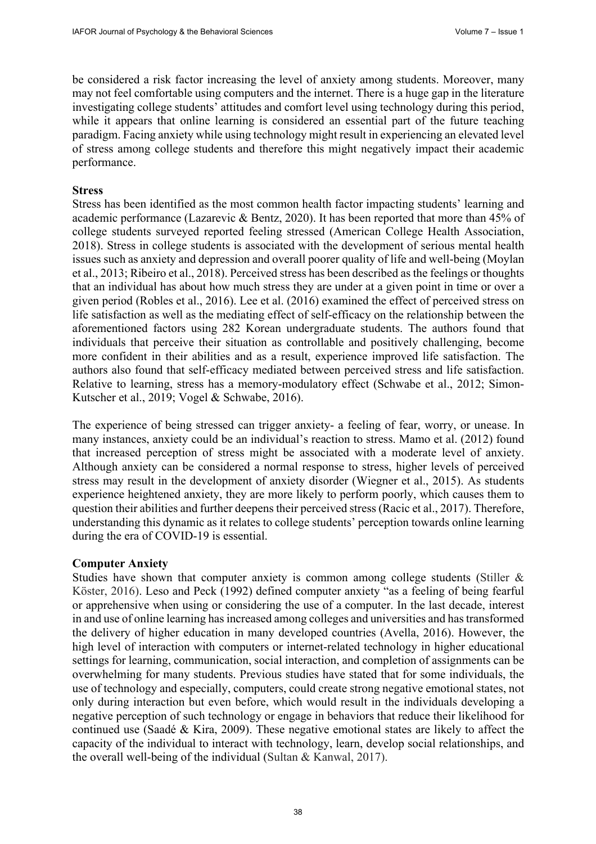be considered a risk factor increasing the level of anxiety among students. Moreover, many may not feel comfortable using computers and the internet. There is a huge gap in the literature investigating college students' attitudes and comfort level using technology during this period, while it appears that online learning is considered an essential part of the future teaching paradigm. Facing anxiety while using technology might result in experiencing an elevated level of stress among college students and therefore this might negatively impact their academic performance.

#### **Stress**

Stress has been identified as the most common health factor impacting students' learning and academic performance (Lazarevic & Bentz, 2020). It has been reported that more than 45% of college students surveyed reported feeling stressed (American College Health Association, 2018). Stress in college students is associated with the development of serious mental health issues such as anxiety and depression and overall poorer quality of life and well-being (Moylan et al., 2013; Ribeiro et al., 2018). Perceived stress has been described as the feelings or thoughts that an individual has about how much stress they are under at a given point in time or over a given period (Robles et al., 2016). Lee et al. (2016) examined the effect of perceived stress on life satisfaction as well as the mediating effect of self-efficacy on the relationship between the aforementioned factors using 282 Korean undergraduate students. The authors found that individuals that perceive their situation as controllable and positively challenging, become more confident in their abilities and as a result, experience improved life satisfaction. The authors also found that self-efficacy mediated between perceived stress and life satisfaction. Relative to learning, stress has a memory-modulatory effect (Schwabe et al., 2012; Simon-Kutscher et al., 2019; Vogel & Schwabe, 2016).

The experience of being stressed can trigger anxiety- a feeling of fear, worry, or unease. In many instances, anxiety could be an individual's reaction to stress. Mamo et al. (2012) found that increased perception of stress might be associated with a moderate level of anxiety. Although anxiety can be considered a normal response to stress, higher levels of perceived stress may result in the development of anxiety disorder (Wiegner et al., 2015). As students experience heightened anxiety, they are more likely to perform poorly, which causes them to question their abilities and further deepens their perceived stress(Racic et al., 2017). Therefore, understanding this dynamic as it relates to college students' perception towards online learning during the era of COVID-19 is essential.

#### **Computer Anxiety**

Studies have shown that computer anxiety is common among college students (Stiller & Köster, 2016). Leso and Peck (1992) defined computer anxiety "as a feeling of being fearful or apprehensive when using or considering the use of a computer. In the last decade, interest in and use of online learning has increased among colleges and universities and has transformed the delivery of higher education in many developed countries (Avella, 2016). However, the high level of interaction with computers or internet-related technology in higher educational settings for learning, communication, social interaction, and completion of assignments can be overwhelming for many students. Previous studies have stated that for some individuals, the use of technology and especially, computers, could create strong negative emotional states, not only during interaction but even before, which would result in the individuals developing a negative perception of such technology or engage in behaviors that reduce their likelihood for continued use (Saadé & Kira, 2009). These negative emotional states are likely to affect the capacity of the individual to interact with technology, learn, develop social relationships, and the overall well-being of the individual (Sultan & Kanwal, 2017).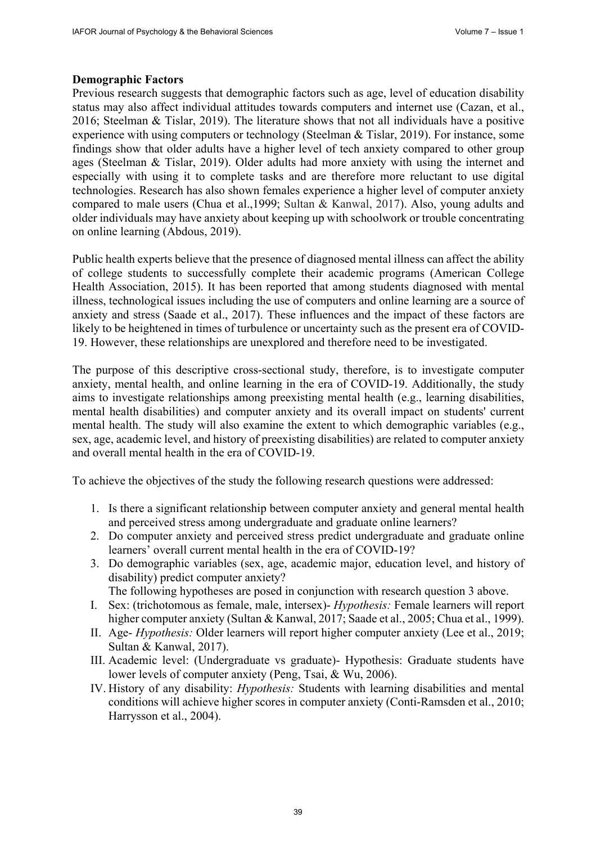### **Demographic Factors**

Previous research suggests that demographic factors such as age, level of education disability status may also affect individual attitudes towards computers and internet use (Cazan, et al., 2016; Steelman & Tislar, 2019). The literature shows that not all individuals have a positive experience with using computers or technology (Steelman & Tislar, 2019). For instance, some findings show that older adults have a higher level of tech anxiety compared to other group ages (Steelman & Tislar, 2019). Older adults had more anxiety with using the internet and especially with using it to complete tasks and are therefore more reluctant to use digital technologies. Research has also shown females experience a higher level of computer anxiety compared to male users (Chua et al.,1999; Sultan & Kanwal, 2017). Also, young adults and older individuals may have anxiety about keeping up with schoolwork or trouble concentrating on online learning (Abdous, 2019).

Public health experts believe that the presence of diagnosed mental illness can affect the ability of college students to successfully complete their academic programs (American College Health Association, 2015). It has been reported that among students diagnosed with mental illness, technological issues including the use of computers and online learning are a source of anxiety and stress (Saade et al., 2017). These influences and the impact of these factors are likely to be heightened in times of turbulence or uncertainty such as the present era of COVID-19. However, these relationships are unexplored and therefore need to be investigated.

The purpose of this descriptive cross-sectional study, therefore, is to investigate computer anxiety, mental health, and online learning in the era of COVID-19. Additionally, the study aims to investigate relationships among preexisting mental health (e.g., learning disabilities, mental health disabilities) and computer anxiety and its overall impact on students' current mental health. The study will also examine the extent to which demographic variables (e.g., sex, age, academic level, and history of preexisting disabilities) are related to computer anxiety and overall mental health in the era of COVID-19.

To achieve the objectives of the study the following research questions were addressed:

- 1. Is there a significant relationship between computer anxiety and general mental health and perceived stress among undergraduate and graduate online learners?
- 2. Do computer anxiety and perceived stress predict undergraduate and graduate online learners' overall current mental health in the era of COVID-19?
- 3. Do demographic variables (sex, age, academic major, education level, and history of disability) predict computer anxiety?

The following hypotheses are posed in conjunction with research question 3 above.

- I. Sex: (trichotomous as female, male, intersex)- *Hypothesis:* Female learners will report higher computer anxiety (Sultan & Kanwal, 2017; Saade et al., 2005; Chua et al., 1999).
- II. Age- *Hypothesis:* Older learners will report higher computer anxiety (Lee et al., 2019; Sultan & Kanwal, 2017).
- III. Academic level: (Undergraduate vs graduate)- Hypothesis: Graduate students have lower levels of computer anxiety (Peng, Tsai, & Wu, 2006).
- IV. History of any disability: *Hypothesis:* Students with learning disabilities and mental conditions will achieve higher scores in computer anxiety (Conti-Ramsden et al., 2010; Harrysson et al., 2004).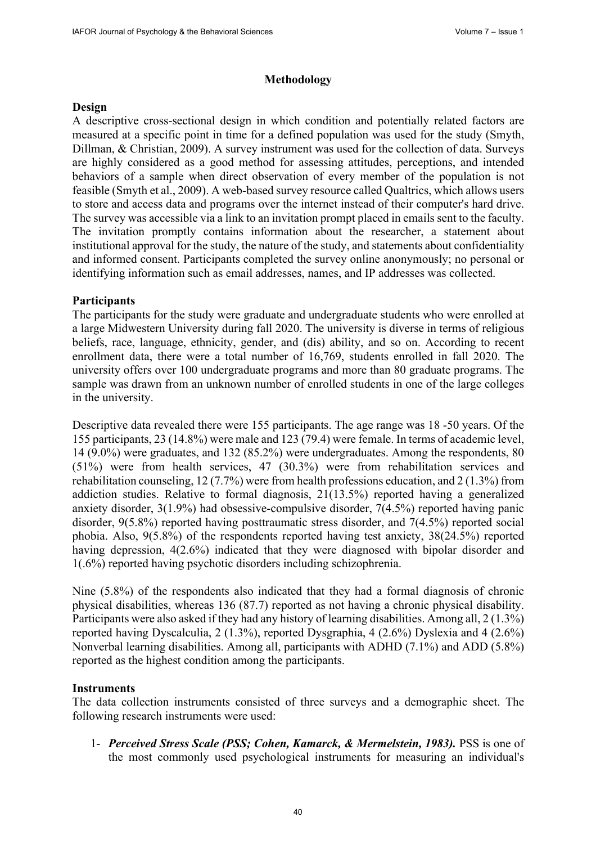### **Methodology**

### **Design**

A descriptive cross-sectional design in which condition and potentially related factors are measured at a specific point in time for a defined population was used for the study (Smyth, Dillman, & Christian, 2009). A survey instrument was used for the collection of data. Surveys are highly considered as a good method for assessing attitudes, perceptions, and intended behaviors of a sample when direct observation of every member of the population is not feasible (Smyth et al., 2009). A web-based survey resource called Qualtrics, which allows users to store and access data and programs over the internet instead of their computer's hard drive. The survey was accessible via a link to an invitation prompt placed in emails sent to the faculty. The invitation promptly contains information about the researcher, a statement about institutional approval for the study, the nature of the study, and statements about confidentiality and informed consent. Participants completed the survey online anonymously; no personal or identifying information such as email addresses, names, and IP addresses was collected.

## **Participants**

The participants for the study were graduate and undergraduate students who were enrolled at a large Midwestern University during fall 2020. The university is diverse in terms of religious beliefs, race, language, ethnicity, gender, and (dis) ability, and so on. According to recent enrollment data, there were a total number of 16,769, students enrolled in fall 2020. The university offers over 100 undergraduate programs and more than 80 graduate programs. The sample was drawn from an unknown number of enrolled students in one of the large colleges in the university.

Descriptive data revealed there were 155 participants. The age range was 18 -50 years. Of the 155 participants, 23 (14.8%) were male and 123 (79.4) were female. In terms of academic level, 14 (9.0%) were graduates, and 132 (85.2%) were undergraduates. Among the respondents, 80 (51%) were from health services, 47 (30.3%) were from rehabilitation services and rehabilitation counseling, 12 (7.7%) were from health professions education, and 2 (1.3%) from addiction studies. Relative to formal diagnosis, 21(13.5%) reported having a generalized anxiety disorder, 3(1.9%) had obsessive-compulsive disorder, 7(4.5%) reported having panic disorder, 9(5.8%) reported having posttraumatic stress disorder, and 7(4.5%) reported social phobia. Also, 9(5.8%) of the respondents reported having test anxiety, 38(24.5%) reported having depression, 4(2.6%) indicated that they were diagnosed with bipolar disorder and 1(.6%) reported having psychotic disorders including schizophrenia.

Nine (5.8%) of the respondents also indicated that they had a formal diagnosis of chronic physical disabilities, whereas 136 (87.7) reported as not having a chronic physical disability. Participants were also asked if they had any history of learning disabilities. Among all, 2 (1.3%) reported having Dyscalculia, 2 (1.3%), reported Dysgraphia, 4 (2.6%) Dyslexia and 4 (2.6%) Nonverbal learning disabilities. Among all, participants with ADHD (7.1%) and ADD (5.8%) reported as the highest condition among the participants.

#### **Instruments**

The data collection instruments consisted of three surveys and a demographic sheet. The following research instruments were used:

1- *Perceived Stress Scale (PSS; Cohen, Kamarck, & Mermelstein, 1983).* PSS is one of the most commonly used psychological instruments for measuring an individual's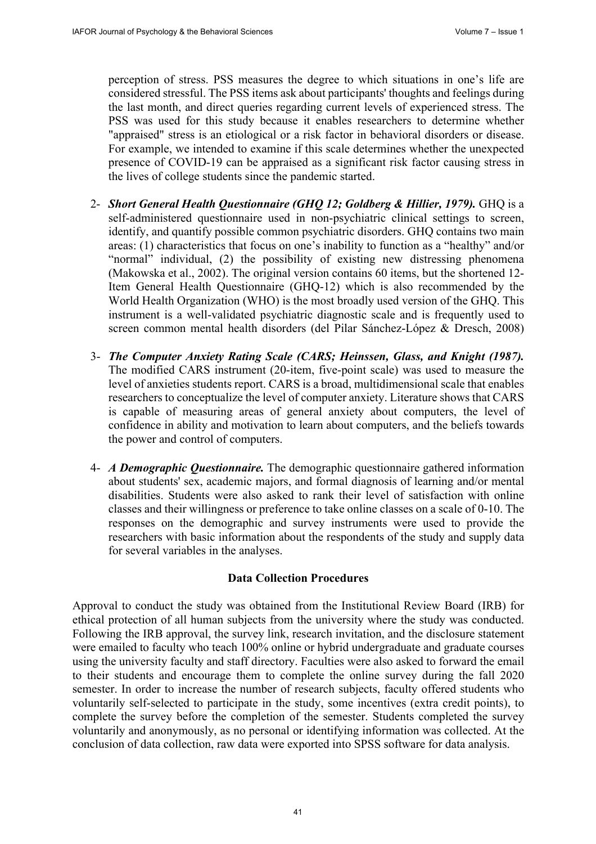perception of stress. PSS measures the degree to which situations in one's life are considered stressful. The PSS items ask about participants' thoughts and feelings during the last month, and direct queries regarding current levels of experienced stress. The PSS was used for this study because it enables researchers to determine whether "appraised" stress is an etiological or a risk factor in behavioral disorders or disease. For example, we intended to examine if this scale determines whether the unexpected presence of COVID-19 can be appraised as a significant risk factor causing stress in the lives of college students since the pandemic started.

- 2- *Short General Health Questionnaire (GHQ 12; Goldberg & Hillier, 1979).* GHQ is a self-administered questionnaire used in non-psychiatric clinical settings to screen, identify, and quantify possible common psychiatric disorders. GHQ contains two main areas: (1) characteristics that focus on one's inability to function as a "healthy" and/or "normal" individual, (2) the possibility of existing new distressing phenomena (Makowska et al., 2002). The original version contains 60 items, but the shortened 12- Item General Health Questionnaire (GHQ-12) which is also recommended by the World Health Organization (WHO) is the most broadly used version of the GHQ. This instrument is a well-validated psychiatric diagnostic scale and is frequently used to screen common mental health disorders (del Pilar Sánchez-López & Dresch, 2008)
- 3- *The Computer Anxiety Rating Scale (CARS; Heinssen, Glass, and Knight (1987).* The modified CARS instrument (20-item, five-point scale) was used to measure the level of anxieties students report. CARS is a broad, multidimensional scale that enables researchers to conceptualize the level of computer anxiety. Literature shows that CARS is capable of measuring areas of general anxiety about computers, the level of confidence in ability and motivation to learn about computers, and the beliefs towards the power and control of computers.
- 4- *A Demographic Questionnaire.* The demographic questionnaire gathered information about students' sex, academic majors, and formal diagnosis of learning and/or mental disabilities. Students were also asked to rank their level of satisfaction with online classes and their willingness or preference to take online classes on a scale of 0-10. The responses on the demographic and survey instruments were used to provide the researchers with basic information about the respondents of the study and supply data for several variables in the analyses.

#### **Data Collection Procedures**

Approval to conduct the study was obtained from the Institutional Review Board (IRB) for ethical protection of all human subjects from the university where the study was conducted. Following the IRB approval, the survey link, research invitation, and the disclosure statement were emailed to faculty who teach 100% online or hybrid undergraduate and graduate courses using the university faculty and staff directory. Faculties were also asked to forward the email to their students and encourage them to complete the online survey during the fall 2020 semester. In order to increase the number of research subjects, faculty offered students who voluntarily self-selected to participate in the study, some incentives (extra credit points), to complete the survey before the completion of the semester. Students completed the survey voluntarily and anonymously, as no personal or identifying information was collected. At the conclusion of data collection, raw data were exported into SPSS software for data analysis.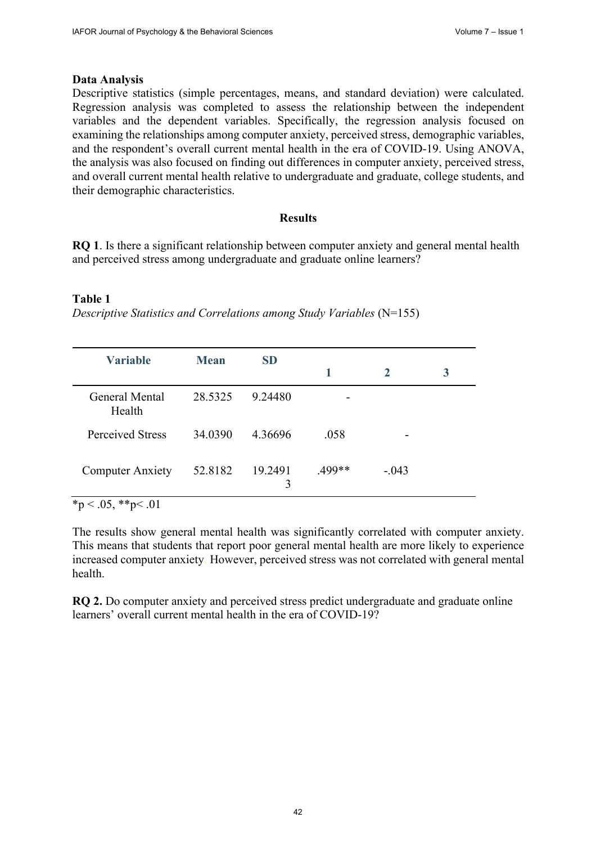#### **Data Analysis**

Descriptive statistics (simple percentages, means, and standard deviation) were calculated. Regression analysis was completed to assess the relationship between the independent variables and the dependent variables. Specifically, the regression analysis focused on examining the relationships among computer anxiety, perceived stress, demographic variables, and the respondent's overall current mental health in the era of COVID-19. Using ANOVA, the analysis was also focused on finding out differences in computer anxiety, perceived stress, and overall current mental health relative to undergraduate and graduate, college students, and their demographic characteristics.

#### **Results**

**RQ 1**. Is there a significant relationship between computer anxiety and general mental health and perceived stress among undergraduate and graduate online learners?

#### **Table 1**

*Descriptive Statistics and Correlations among Study Variables* (N=155)

| <b>Variable</b>          | <b>Mean</b> | <b>SD</b>    |        |             |   |
|--------------------------|-------------|--------------|--------|-------------|---|
|                          |             |              |        | $\mathbf 2$ | 3 |
| General Mental<br>Health | 28.5325     | 9.24480      |        |             |   |
| Perceived Stress         | 34.0390     | 4.36696      | .058   |             |   |
| <b>Computer Anxiety</b>  | 52.8182     | 19.2491<br>3 | .499** | $-.043$     |   |

 $*_{p}$  < .05,  $*_{p}$  < .01

The results show general mental health was significantly correlated with computer anxiety. This means that students that report poor general mental health are more likely to experience increased computer anxiety. However, perceived stress was not correlated with general mental health.

**RQ 2.** Do computer anxiety and perceived stress predict undergraduate and graduate online learners' overall current mental health in the era of COVID-19?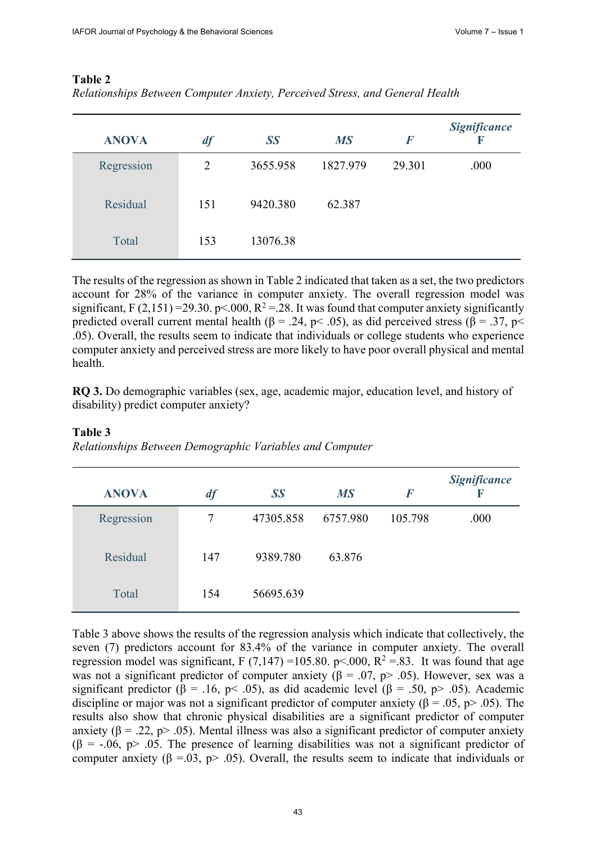| <b>ANOVA</b> | df             | SS       | <b>MS</b> | $\bm{F}$ | <b>Significance</b><br>$\mathbf F$ |
|--------------|----------------|----------|-----------|----------|------------------------------------|
| Regression   | $\overline{2}$ | 3655.958 | 1827.979  | 29.301   | .000                               |
| Residual     | 151            | 9420.380 | 62.387    |          |                                    |
| Total        | 153            | 13076.38 |           |          |                                    |

# **Table 2**

| Relationships Between Computer Anxiety, Perceived Stress, and General Health |  |  |
|------------------------------------------------------------------------------|--|--|
|                                                                              |  |  |

The results of the regression as shown in Table 2 indicated that taken as a set, the two predictors account for 28% of the variance in computer anxiety. The overall regression model was significant, F (2,151) = 29.30. p < 0.00, R<sup>2</sup> = .28. It was found that computer anxiety significantly predicted overall current mental health (β = .24, p < .05), as did perceived stress (β = .37, p < .05). Overall, the results seem to indicate that individuals or college students who experience computer anxiety and perceived stress are more likely to have poor overall physical and mental health.

**RQ 3.** Do demographic variables (sex, age, academic major, education level, and history of disability) predict computer anxiety?

| <b>ANOVA</b> | df  | SS        | <b>MS</b> | $\boldsymbol{F}$ | <b>Significance</b><br>K |
|--------------|-----|-----------|-----------|------------------|--------------------------|
| Regression   | 7   | 47305.858 | 6757.980  | 105.798          | .000                     |
| Residual     | 147 | 9389.780  | 63.876    |                  |                          |
| Total        | 154 | 56695.639 |           |                  |                          |

# **Table 3**

*Relationships Between Demographic Variables and Computer*

Table 3 above shows the results of the regression analysis which indicate that collectively, the seven (7) predictors account for 83.4% of the variance in computer anxiety. The overall regression model was significant, F (7,147) = 105.80. p < 0.00, R<sup>2</sup> = 8.83. It was found that age was not a significant predictor of computer anxiety ( $\beta = .07$ ,  $p$ ) and  $-0.05$ ). However, sex was a significant predictor ( $\beta$  = .16, p< .05), as did academic level ( $\beta$  = .50, p> .05). Academic discipline or major was not a significant predictor of computer anxiety ( $\beta = .05$ ,  $p > .05$ ). The results also show that chronic physical disabilities are a significant predictor of computer anxiety ( $\beta = 0.22$ , p> 0.05). Mental illness was also a significant predictor of computer anxiety  $(\beta = -.06, p> .05)$ . The presence of learning disabilities was not a significant predictor of computer anxiety ( $\beta = 0.03$ ,  $p > 0.05$ ). Overall, the results seem to indicate that individuals or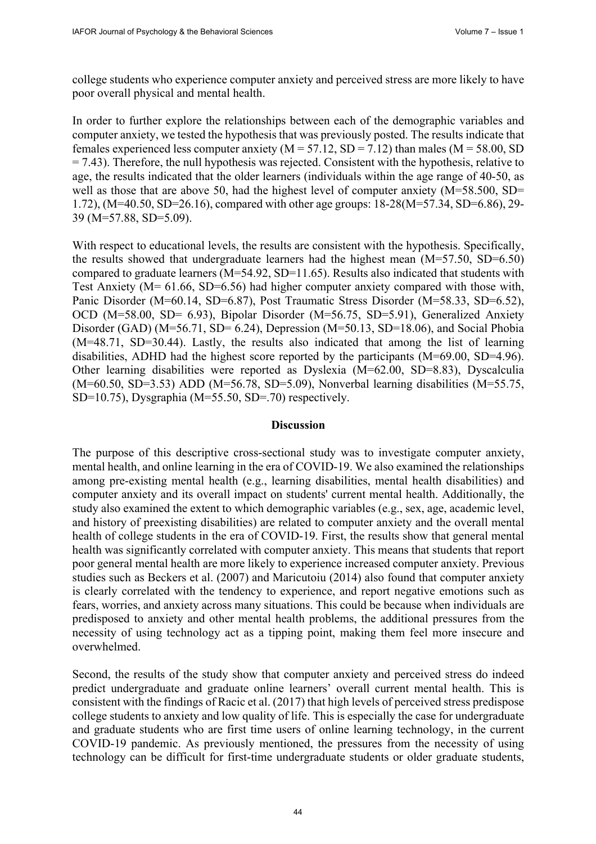college students who experience computer anxiety and perceived stress are more likely to have poor overall physical and mental health.

In order to further explore the relationships between each of the demographic variables and computer anxiety, we tested the hypothesis that was previously posted. The results indicate that females experienced less computer anxiety ( $M = 57.12$ ,  $SD = 7.12$ ) than males ( $M = 58.00$ , SD  $= 7.43$ ). Therefore, the null hypothesis was rejected. Consistent with the hypothesis, relative to age, the results indicated that the older learners (individuals within the age range of 40-50, as well as those that are above 50, had the highest level of computer anxiety (M=58.500, SD= 1.72), (M=40.50, SD=26.16), compared with other age groups: 18-28(M=57.34, SD=6.86), 29- 39 (M=57.88, SD=5.09).

With respect to educational levels, the results are consistent with the hypothesis. Specifically, the results showed that undergraduate learners had the highest mean (M=57.50, SD=6.50) compared to graduate learners (M=54.92, SD=11.65). Results also indicated that students with Test Anxiety (M= 61.66, SD=6.56) had higher computer anxiety compared with those with, Panic Disorder (M=60.14, SD=6.87), Post Traumatic Stress Disorder (M=58.33, SD=6.52), OCD (M=58.00, SD= 6.93), Bipolar Disorder (M=56.75, SD=5.91), Generalized Anxiety Disorder (GAD) ( $M=56.71$ , SD= 6.24), Depression ( $M=50.13$ , SD=18.06), and Social Phobia (M=48.71, SD=30.44). Lastly, the results also indicated that among the list of learning disabilities, ADHD had the highest score reported by the participants (M=69.00, SD=4.96). Other learning disabilities were reported as Dyslexia (M=62.00, SD=8.83), Dyscalculia (M=60.50, SD=3.53) ADD (M=56.78, SD=5.09), Nonverbal learning disabilities (M=55.75, SD=10.75), Dysgraphia (M=55.50, SD=.70) respectively.

#### **Discussion**

The purpose of this descriptive cross-sectional study was to investigate computer anxiety, mental health, and online learning in the era of COVID-19. We also examined the relationships among pre-existing mental health (e.g., learning disabilities, mental health disabilities) and computer anxiety and its overall impact on students' current mental health. Additionally, the study also examined the extent to which demographic variables (e.g., sex, age, academic level, and history of preexisting disabilities) are related to computer anxiety and the overall mental health of college students in the era of COVID-19. First, the results show that general mental health was significantly correlated with computer anxiety. This means that students that report poor general mental health are more likely to experience increased computer anxiety. Previous studies such as Beckers et al. (2007) and Maricutoiu (2014) also found that computer anxiety is clearly correlated with the tendency to experience, and report negative emotions such as fears, worries, and anxiety across many situations. This could be because when individuals are predisposed to anxiety and other mental health problems, the additional pressures from the necessity of using technology act as a tipping point, making them feel more insecure and overwhelmed.

Second, the results of the study show that computer anxiety and perceived stress do indeed predict undergraduate and graduate online learners' overall current mental health. This is consistent with the findings of Racic et al. (2017) that high levels of perceived stress predispose college students to anxiety and low quality of life. This is especially the case for undergraduate and graduate students who are first time users of online learning technology, in the current COVID-19 pandemic. As previously mentioned, the pressures from the necessity of using technology can be difficult for first-time undergraduate students or older graduate students,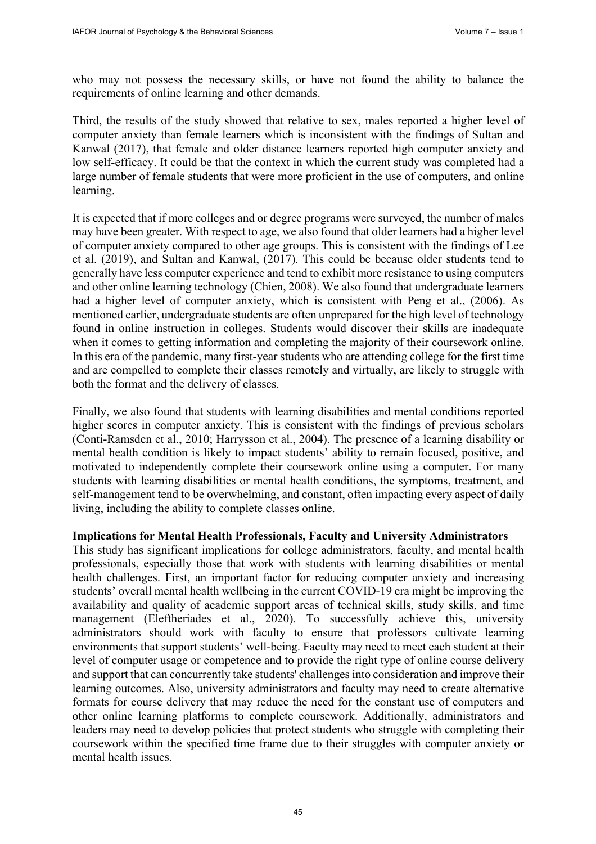who may not possess the necessary skills, or have not found the ability to balance the requirements of online learning and other demands.

Third, the results of the study showed that relative to sex, males reported a higher level of computer anxiety than female learners which is inconsistent with the findings of Sultan and Kanwal (2017), that female and older distance learners reported high computer anxiety and low self-efficacy. It could be that the context in which the current study was completed had a large number of female students that were more proficient in the use of computers, and online learning.

It is expected that if more colleges and or degree programs were surveyed, the number of males may have been greater. With respect to age, we also found that older learners had a higher level of computer anxiety compared to other age groups. This is consistent with the findings of Lee et al. (2019), and Sultan and Kanwal, (2017). This could be because older students tend to generally have less computer experience and tend to exhibit more resistance to using computers and other online learning technology (Chien, 2008). We also found that undergraduate learners had a higher level of computer anxiety, which is consistent with Peng et al., (2006). As mentioned earlier, undergraduate students are often unprepared for the high level of technology found in online instruction in colleges. Students would discover their skills are inadequate when it comes to getting information and completing the majority of their coursework online. In this era of the pandemic, many first-year students who are attending college for the first time and are compelled to complete their classes remotely and virtually, are likely to struggle with both the format and the delivery of classes.

Finally, we also found that students with learning disabilities and mental conditions reported higher scores in computer anxiety. This is consistent with the findings of previous scholars (Conti-Ramsden et al., 2010; Harrysson et al., 2004). The presence of a learning disability or mental health condition is likely to impact students' ability to remain focused, positive, and motivated to independently complete their coursework online using a computer. For many students with learning disabilities or mental health conditions, the symptoms, treatment, and self-management tend to be overwhelming, and constant, often impacting every aspect of daily living, including the ability to complete classes online.

#### **Implications for Mental Health Professionals, Faculty and University Administrators**

This study has significant implications for college administrators, faculty, and mental health professionals, especially those that work with students with learning disabilities or mental health challenges. First, an important factor for reducing computer anxiety and increasing students' overall mental health wellbeing in the current COVID-19 era might be improving the availability and quality of academic support areas of technical skills, study skills, and time management (Eleftheriades et al., 2020). To successfully achieve this, university administrators should work with faculty to ensure that professors cultivate learning environments that support students' well-being. Faculty may need to meet each student at their level of computer usage or competence and to provide the right type of online course delivery and support that can concurrently take students' challenges into consideration and improve their learning outcomes. Also, university administrators and faculty may need to create alternative formats for course delivery that may reduce the need for the constant use of computers and other online learning platforms to complete coursework. Additionally, administrators and leaders may need to develop policies that protect students who struggle with completing their coursework within the specified time frame due to their struggles with computer anxiety or mental health issues.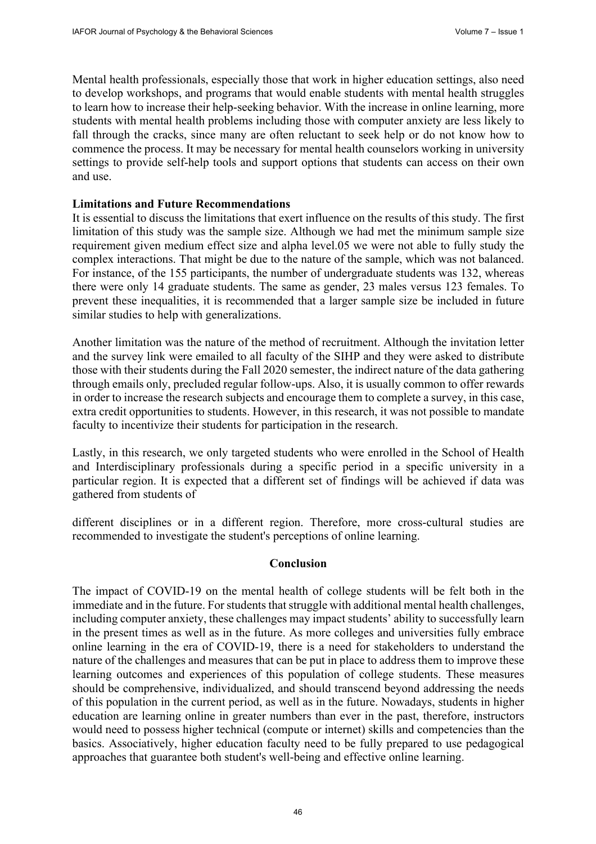Mental health professionals, especially those that work in higher education settings, also need to develop workshops, and programs that would enable students with mental health struggles to learn how to increase their help-seeking behavior. With the increase in online learning, more students with mental health problems including those with computer anxiety are less likely to fall through the cracks, since many are often reluctant to seek help or do not know how to commence the process. It may be necessary for mental health counselors working in university settings to provide self-help tools and support options that students can access on their own and use.

#### **Limitations and Future Recommendations**

It is essential to discuss the limitations that exert influence on the results of this study. The first limitation of this study was the sample size. Although we had met the minimum sample size requirement given medium effect size and alpha level.05 we were not able to fully study the complex interactions. That might be due to the nature of the sample, which was not balanced. For instance, of the 155 participants, the number of undergraduate students was 132, whereas there were only 14 graduate students. The same as gender, 23 males versus 123 females. To prevent these inequalities, it is recommended that a larger sample size be included in future similar studies to help with generalizations.

Another limitation was the nature of the method of recruitment. Although the invitation letter and the survey link were emailed to all faculty of the SIHP and they were asked to distribute those with their students during the Fall 2020 semester, the indirect nature of the data gathering through emails only, precluded regular follow-ups. Also, it is usually common to offer rewards in order to increase the research subjects and encourage them to complete a survey, in this case, extra credit opportunities to students. However, in this research, it was not possible to mandate faculty to incentivize their students for participation in the research.

Lastly, in this research, we only targeted students who were enrolled in the School of Health and Interdisciplinary professionals during a specific period in a specific university in a particular region. It is expected that a different set of findings will be achieved if data was gathered from students of

different disciplines or in a different region. Therefore, more cross-cultural studies are recommended to investigate the student's perceptions of online learning.

#### **Conclusion**

The impact of COVID-19 on the mental health of college students will be felt both in the immediate and in the future. For students that struggle with additional mental health challenges, including computer anxiety, these challenges may impact students' ability to successfully learn in the present times as well as in the future. As more colleges and universities fully embrace online learning in the era of COVID-19, there is a need for stakeholders to understand the nature of the challenges and measures that can be put in place to address them to improve these learning outcomes and experiences of this population of college students. These measures should be comprehensive, individualized, and should transcend beyond addressing the needs of this population in the current period, as well as in the future. Nowadays, students in higher education are learning online in greater numbers than ever in the past, therefore, instructors would need to possess higher technical (compute or internet) skills and competencies than the basics. Associatively, higher education faculty need to be fully prepared to use pedagogical approaches that guarantee both student's well-being and effective online learning.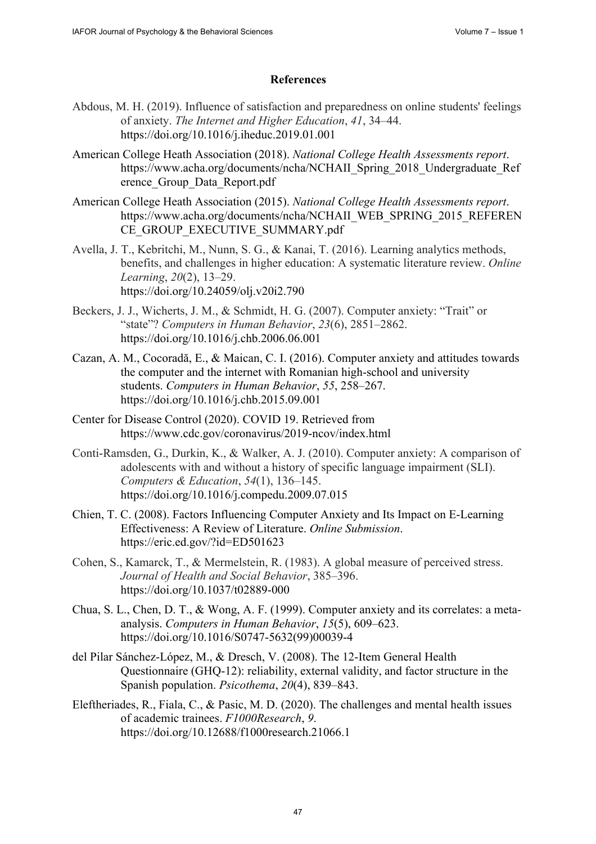# **References**

- Abdous, M. H. (2019). Influence of satisfaction and preparedness on online students' feelings of anxiety. *The Internet and Higher Education*, *41*, 34–44. <https://doi.org/10.1016/j.iheduc.2019.01.001>
- American College Heath Association (2018). *National College Health Assessments report*. [https://www.acha.org/documents/ncha/NCHAII\\_Spring\\_2018\\_Undergraduate\\_Ref](https://www.acha.org/documents/ncha/NCHAII_Spring_2018_Undergraduate_Ref) erence\_Group\_Data\_Report.pdf
- American College Heath Association (2015). *National College Health Assessments report*. [https://www.acha.org/documents/ncha/NCHAII\\_WEB\\_SPRING\\_2015\\_REFEREN](https://www.acha.org/documents/ncha/NCHAII_WEB_SPRING_2015_REFEREN) CE\_GROUP\_EXECUTIVE\_SUMMARY.pdf
- Avella, J. T., Kebritchi, M., Nunn, S. G., & Kanai, T. (2016). Learning analytics methods, benefits, and challenges in higher education: A systematic literature review. *Online Learning*, *20*(2), 13–29. <https://doi.org/10.24059/olj.v20i2.790>
- Beckers, J. J., Wicherts, J. M., & Schmidt, H. G. (2007). Computer anxiety: "Trait" or "state"? *Computers in Human Behavior*, *23*(6), 2851–2862. <https://doi.org/10.1016/j.chb.2006.06.001>
- Cazan, A. M., Cocoradă, E., & Maican, C. I. (2016). Computer anxiety and attitudes towards the computer and the internet with Romanian high-school and university students. *Computers in Human Behavior*, *55*, 258–267. <https://doi.org/10.1016/j.chb.2015.09.001>
- Center for Disease Control (2020). COVID 19. Retrieved from <https://www.cdc.gov/coronavirus/2019-ncov/index.html>
- Conti-Ramsden, G., Durkin, K., & Walker, A. J. (2010). Computer anxiety: A comparison of adolescents with and without a history of specific language impairment (SLI). *Computers & Education*, *54*(1), 136–145. <https://doi.org/10.1016/j.compedu.2009.07.015>
- Chien, T. C. (2008). Factors Influencing Computer Anxiety and Its Impact on E-Learning Effectiveness: A Review of Literature. *Online Submission*. <https://eric.ed.gov/?id=ED501623>
- Cohen, S., Kamarck, T., & Mermelstein, R. (1983). A global measure of perceived stress. *Journal of Health and Social Behavior*, 385–396. <https://doi.org/10.1037/t02889-000>
- Chua, S. L., Chen, D. T., & Wong, A. F. (1999). Computer anxiety and its correlates: a metaanalysis. *Computers in Human Behavior*, *15*(5), 609–623. [https://doi.org/10.1016/S0747-5632\(99](https://doi.org/10.1016/S0747-5632))00039-4
- del Pilar Sánchez-López, M., & Dresch, V. (2008). The 12-Item General Health Questionnaire (GHQ-12): reliability, external validity, and factor structure in the Spanish population. *Psicothema*, *20*(4), 839–843.
- Eleftheriades, R., Fiala, C., & Pasic, M. D. (2020). The challenges and mental health issues of academic trainees. *F1000Research*, *9*. <https://doi.org/10.12688/f1000research.21066.1>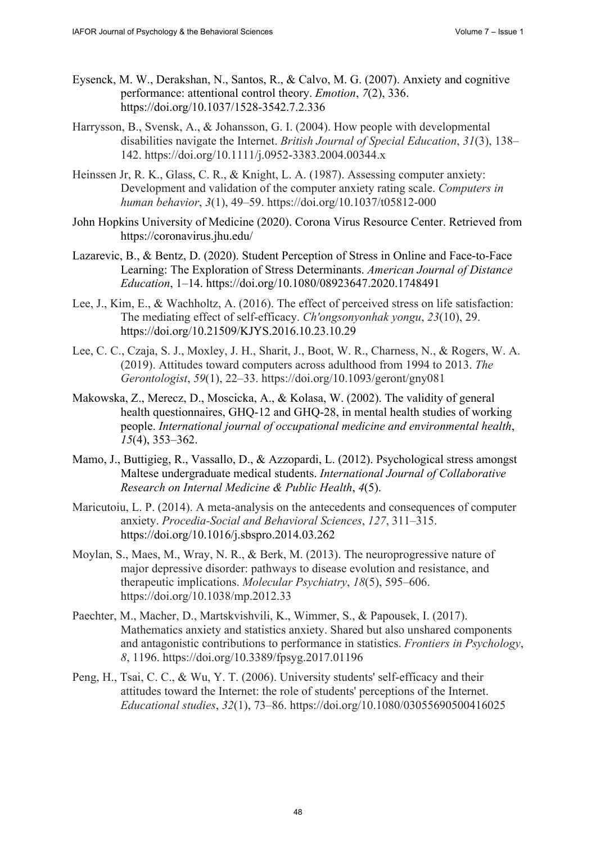- Eysenck, M. W., Derakshan, N., Santos, R., & Calvo, M. G. (2007). Anxiety and cognitive performance: attentional control theory. *Emotion*, *7*(2), 336. <https://doi.org/10.1037/1528-3542.7.2.336>
- Harrysson, B., Svensk, A., & Johansson, G. I. (2004). How people with developmental disabilities navigate the Internet. *British Journal of Special Education*, *31*(3), 138– 142. <https://doi.org/10.1111/j.0952-3383.2004.00344.x>
- Heinssen Jr, R. K., Glass, C. R., & Knight, L. A. (1987). Assessing computer anxiety: Development and validation of the computer anxiety rating scale. *Computers in human behavior*, *3*(1), 49–59. <https://doi.org/10.1037/t05812-000>
- John Hopkins University of Medicine (2020). Corona Virus Resource Center. Retrieved from <https://coronavirus.jhu.edu/>
- Lazarevic, B., & Bentz, D. (2020). Student Perception of Stress in Online and Face-to-Face Learning: The Exploration of Stress Determinants. *American Journal of Distance Education*, 1–14. <https://doi.org/10.1080/08923647.2020.1748491>
- Lee, J., Kim, E., & Wachholtz, A. (2016). The effect of perceived stress on life satisfaction: The mediating effect of self-efficacy. *Ch'ongsonyonhak yongu*, *23*(10), 29. <https://doi.org/10.21509/KJYS.2016.10.23.10.29>
- Lee, C. C., Czaja, S. J., Moxley, J. H., Sharit, J., Boot, W. R., Charness, N., & Rogers, W. A. (2019). Attitudes toward computers across adulthood from 1994 to 2013. *The Gerontologist*, *59*(1), 22–33. <https://doi.org/10.1093/geront/gny081>
- Makowska, Z., Merecz, D., Moscicka, A., & Kolasa, W. (2002). The validity of general health questionnaires, GHQ-12 and GHQ-28, in mental health studies of working people. *International journal of occupational medicine and environmental health*, *15*(4), 353–362.
- Mamo, J., Buttigieg, R., Vassallo, D., & Azzopardi, L. (2012). Psychological stress amongst Maltese undergraduate medical students. *International Journal of Collaborative Research on Internal Medicine & Public Health*, *4*(5).
- Maricutoiu, L. P. (2014). A meta-analysis on the antecedents and consequences of computer anxiety. *Procedia-Social and Behavioral Sciences*, *127*, 311–315. <https://doi.org/10.1016/j.sbspro.2014.03.262>
- Moylan, S., Maes, M., Wray, N. R., & Berk, M. (2013). The neuroprogressive nature of major depressive disorder: pathways to disease evolution and resistance, and therapeutic implications. *Molecular Psychiatry*, *18*(5), 595–606. <https://doi.org/10.1038/mp.2012.33>
- Paechter, M., Macher, D., Martskvishvili, K., Wimmer, S., & Papousek, I. (2017). Mathematics anxiety and statistics anxiety. Shared but also unshared components and antagonistic contributions to performance in statistics. *Frontiers in Psychology*, *8*, 1196. <https://doi.org/10.3389/fpsyg.2017.01196>
- Peng, H., Tsai, C. C., & Wu, Y. T. (2006). University students' self‐efficacy and their attitudes toward the Internet: the role of students' perceptions of the Internet. *Educational studies*, *32*(1), 73–86. <https://doi.org/10.1080/03055690500416025>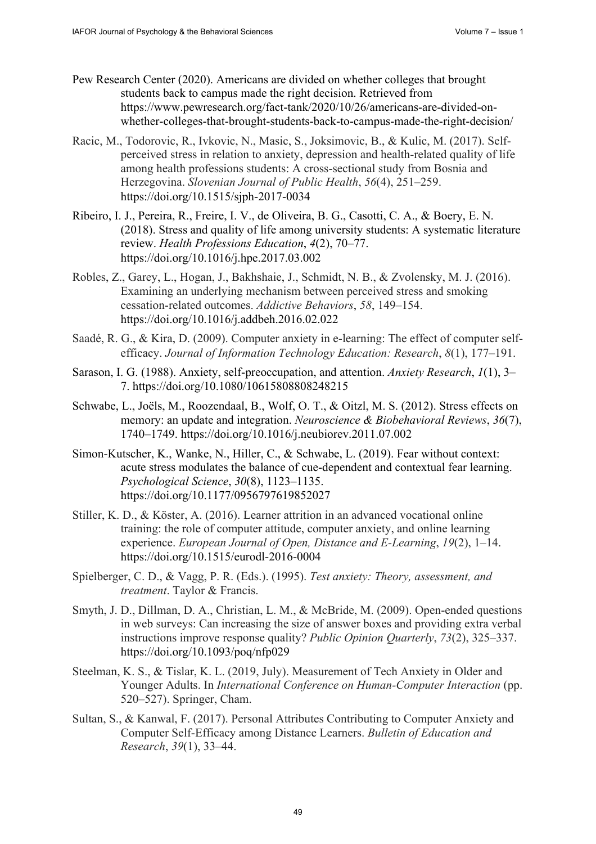- Pew Research Center (2020). Americans are divided on whether colleges that brought students back to campus made the right decision. Retrieved from [https://www.pewresearch.org/fact-tank/2020/10/26/americans-are-divided-on](https://www.pewresearch.org/fact-tank/2020/10/26/americans-are-divided-on-whether-colleges-that-brought-students-back-to-campus-made-the-right-decision/)[whether-colleges-that-brought-students-back-to-campus-made-the-right-decision/](https://www.pewresearch.org/fact-tank/2020/10/26/americans-are-divided-on-whether-colleges-that-brought-students-back-to-campus-made-the-right-decision/)
- Racic, M., Todorovic, R., Ivkovic, N., Masic, S., Joksimovic, B., & Kulic, M. (2017). Selfperceived stress in relation to anxiety, depression and health-related quality of life among health professions students: A cross-sectional study from Bosnia and Herzegovina. *Slovenian Journal of Public Health*, *56*(4), 251–259. <https://doi.org/10.1515/sjph-2017-0034>
- Ribeiro, I. J., Pereira, R., Freire, I. V., de Oliveira, B. G., Casotti, C. A., & Boery, E. N. (2018). Stress and quality of life among university students: A systematic literature review. *Health Professions Education*, *4*(2), 70–77. <https://doi.org/10.1016/j.hpe.2017.03.002>
- Robles, Z., Garey, L., Hogan, J., Bakhshaie, J., Schmidt, N. B., & Zvolensky, M. J. (2016). Examining an underlying mechanism between perceived stress and smoking cessation-related outcomes. *Addictive Behaviors*, *58*, 149–154. <https://doi.org/10.1016/j.addbeh.2016.02.022>
- Saadé, R. G., & Kira, D. (2009). Computer anxiety in e-learning: The effect of computer selfefficacy. *Journal of Information Technology Education: Research*, *8*(1), 177–191.
- Sarason, I. G. (1988). Anxiety, self-preoccupation, and attention. *Anxiety Research*, *1*(1), 3– 7.<https://doi.org/10.1080/10615808808248215>
- Schwabe, L., Joëls, M., Roozendaal, B., Wolf, O. T., & Oitzl, M. S. (2012). Stress effects on memory: an update and integration. *Neuroscience & Biobehavioral Reviews*, *36*(7), 1740–1749.<https://doi.org/10.1016/j.neubiorev.2011.07.002>
- Simon-Kutscher, K., Wanke, N., Hiller, C., & Schwabe, L. (2019). Fear without context: acute stress modulates the balance of cue-dependent and contextual fear learning. *Psychological Science*, *30*(8), 1123–1135. <https://doi.org/10.1177/0956797619852027>
- Stiller, K. D., & Köster, A. (2016). Learner attrition in an advanced vocational online training: the role of computer attitude, computer anxiety, and online learning experience. *European Journal of Open, Distance and E-Learning*, *19*(2), 1–14. <https://doi.org/10.1515/eurodl-2016-0004>
- Spielberger, C. D., & Vagg, P. R. (Eds.). (1995). *Test anxiety: Theory, assessment, and treatment*. Taylor & Francis.
- Smyth, J. D., Dillman, D. A., Christian, L. M., & McBride, M. (2009). Open-ended questions in web surveys: Can increasing the size of answer boxes and providing extra verbal instructions improve response quality? *Public Opinion Quarterly*, *73*(2), 325–337. <https://doi.org/10.1093/poq/nfp029>
- Steelman, K. S., & Tislar, K. L. (2019, July). Measurement of Tech Anxiety in Older and Younger Adults. In *International Conference on Human-Computer Interaction* (pp. 520–527). Springer, Cham.
- Sultan, S., & Kanwal, F. (2017). Personal Attributes Contributing to Computer Anxiety and Computer Self-Efficacy among Distance Learners. *Bulletin of Education and Research*, *39*(1), 33–44.